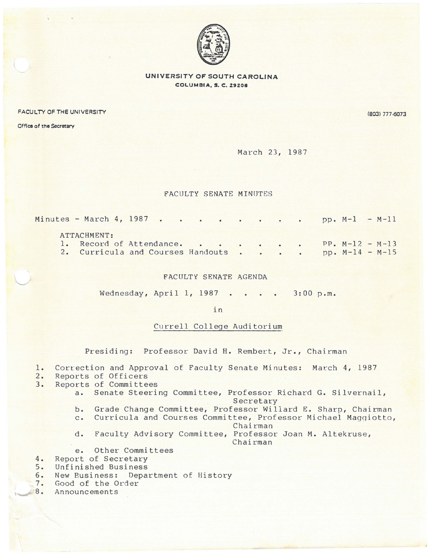

## **UNIVERSITY OF SOUTH CAROLINA COLUMBIA, S. C. Z9Z08**

FACULTY OF THE UNIVERSITY (803) 777-6073

Office of the Secretary

 $\sqrt{2}$ 

March 23, 1987

## FACULTY SENATE MINUTES

| Minutes - March 4, 1987 pp. M-1 - M-11     |  |  |  |  |  |                   |  |
|--------------------------------------------|--|--|--|--|--|-------------------|--|
| ATTACHMENT:                                |  |  |  |  |  |                   |  |
| 1. Record of Attendance. PP. $M-12 - M-13$ |  |  |  |  |  |                   |  |
| 2. Curricula and Courses Handouts          |  |  |  |  |  | $pp. M-14 - M-15$ |  |

## FACULTY SENATE AGENDA

Wednesday, April 1, 1987 3:00 p.m.

in

## Currell College Auditorium

Presiding: Professor David H. Rembert, Jr., Chairman

1. Correction and Approval of Faculty Senate Minutes: March 4, 1987

- 
- 2. Reports of Officers<br>3. Reports of Committe Reports of Committees
	- a. Senate Steering Committee, Professor Richard G. Silvernail, Secretary
		- b. Grade Change Committee, Professor Wiliard E. Sharp, Chairman
		- c. Curricula and Courses Committee, Professor Michael Magqiotto,

**Chairman** 

d. Faculty Advisory Committee, Professor Joan M. Altekruse, Chairman

e. Other Committees

- 4. Report of Secretary<br>5. Unfinished Business
- 5. Unfinished Business<br>6. New Business: Depai
- 6. New Business: Department of History
- 7. Good of the Order<br>8. Announcements
- **Announcements**